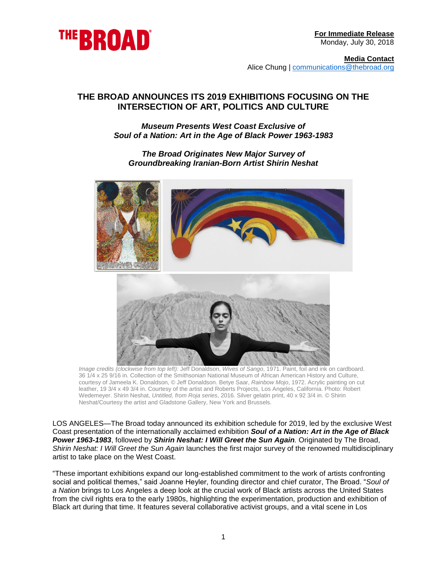

**Media Contact** Alice Chung | [communications@thebroad.org](mailto:communications@thebroad.org)

# **THE BROAD ANNOUNCES ITS 2019 EXHIBITIONS FOCUSING ON THE INTERSECTION OF ART, POLITICS AND CULTURE**

## *Museum Presents West Coast Exclusive of Soul of a Nation: Art in the Age of Black Power 1963-1983*

## *The Broad Originates New Major Survey of Groundbreaking Iranian-Born Artist Shirin Neshat*



*Image credits (clockwise from top left):* Jeff Donaldson, *Wives of Sango*, 1971. Paint, foil and ink on cardboard. 36 1/4 x 25 9/16 in. Collection of the Smithsonian National Museum of African American History and Culture, courtesy of Jameela K. Donaldson, © Jeff Donaldson. Betye Saar, *Rainbow Mojo*, 1972. Acrylic painting on cut leather, 19 3/4 x 49 3/4 in. Courtesy of the artist and Roberts Projects, Los Angeles, California. Photo: Robert Wedemeyer. Shirin Neshat, *Untitled, from Roja series*, 2016. Silver gelatin print, 40 x 92 3/4 in. © Shirin Neshat/Courtesy the artist and Gladstone Gallery, New York and Brussels.

LOS ANGELES*—*The Broad today announced its exhibition schedule for 2019, led by the exclusive West Coast presentation of the internationally acclaimed exhibition *Soul of a Nation: Art in the Age of Black Power 1963-1983*, followed by *Shirin Neshat: I Will Greet the Sun Again.* Originated by The Broad, *Shirin Neshat: I Will Greet the Sun Again* launches the first major survey of the renowned multidisciplinary artist to take place on the West Coast.

"These important exhibitions expand our long-established commitment to the work of artists confronting social and political themes," said Joanne Heyler, founding director and chief curator, The Broad. "*Soul of a Nation* brings to Los Angeles a deep look at the crucial work of Black artists across the United States from the civil rights era to the early 1980s, highlighting the experimentation, production and exhibition of Black art during that time. It features several collaborative activist groups, and a vital scene in Los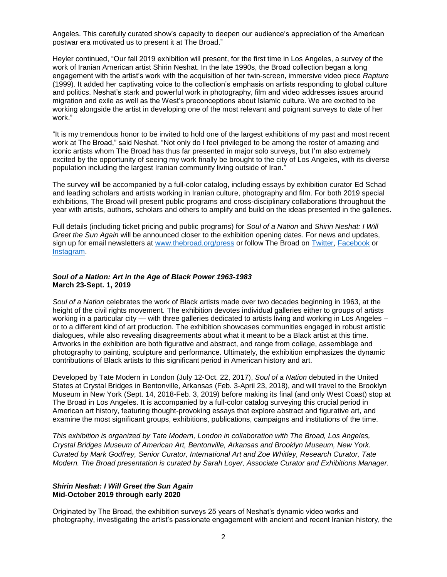Angeles. This carefully curated show's capacity to deepen our audience's appreciation of the American postwar era motivated us to present it at The Broad."

Heyler continued, "Our fall 2019 exhibition will present, for the first time in Los Angeles, a survey of the work of Iranian American artist Shirin Neshat. In the late 1990s, the Broad collection began a long engagement with the artist's work with the acquisition of her twin-screen, immersive video piece *Rapture* (1999). It added her captivating voice to the collection's emphasis on artists responding to global culture and politics. Neshat's stark and powerful work in photography, film and video addresses issues around migration and exile as well as the West's preconceptions about Islamic culture. We are excited to be working alongside the artist in developing one of the most relevant and poignant surveys to date of her work."

"It is my tremendous honor to be invited to hold one of the largest exhibitions of my past and most recent work at The Broad," said Neshat. "Not only do I feel privileged to be among the roster of amazing and iconic artists whom The Broad has thus far presented in major solo surveys, but I'm also extremely excited by the opportunity of seeing my work finally be brought to the city of Los Angeles, with its diverse population including the largest Iranian community living outside of Iran."

The survey will be accompanied by a full-color catalog, including essays by exhibition curator Ed Schad and leading scholars and artists working in Iranian culture, photography and film. For both 2019 special exhibitions, The Broad will present public programs and cross-disciplinary collaborations throughout the year with artists, authors, scholars and others to amplify and build on the ideas presented in the galleries.

Full details (including ticket pricing and public programs) for *Soul of a Nation* and *Shirin Neshat: I Will Greet the Sun Again* will be announced closer to the exhibition opening dates. For news and updates, sign up for email newsletters at [www.thebroad.org/press](http://www.thebroad.org/press) or follow The Broad on [Twitter,](http://www.twitter.com/thebroad) [Facebook](http://www.facebook.com/thebroadmuseum) or **Instagram** 

#### *Soul of a Nation: Art in the Age of Black Power 1963-1983* **March 23-Sept. 1, 2019**

*Soul of a Nation* celebrates the work of Black artists made over two decades beginning in 1963, at the height of the civil rights movement. The exhibition devotes individual galleries either to groups of artists working in a particular city — with three galleries dedicated to artists living and working in Los Angeles – or to a different kind of art production. The exhibition showcases communities engaged in robust artistic dialogues, while also revealing disagreements about what it meant to be a Black artist at this time. Artworks in the exhibition are both figurative and abstract, and range from collage, assemblage and photography to painting, sculpture and performance. Ultimately, the exhibition emphasizes the dynamic contributions of Black artists to this significant period in American history and art.

Developed by Tate Modern in London (July 12-Oct. 22, 2017), *Soul of a Nation* debuted in the United States at Crystal Bridges in Bentonville, Arkansas (Feb. 3-April 23, 2018), and will travel to the Brooklyn Museum in New York (Sept. 14, 2018-Feb. 3, 2019) before making its final (and only West Coast) stop at The Broad in Los Angeles. It is accompanied by a full-color catalog surveying this crucial period in American art history, featuring thought-provoking essays that explore abstract and figurative art, and examine the most significant groups, exhibitions, publications, campaigns and institutions of the time.

*This exhibition is organized by Tate Modern, London in collaboration with The Broad, Los Angeles, Crystal Bridges Museum of American Art, Bentonville, Arkansas and Brooklyn Museum, New York. Curated by Mark Godfrey, Senior Curator, International Art and Zoe Whitley, Research Curator, Tate Modern. The Broad presentation is curated by Sarah Loyer, Associate Curator and Exhibitions Manager.*

#### *Shirin Neshat: I Will Greet the Sun Again*  **Mid-October 2019 through early 2020**

Originated by The Broad, the exhibition surveys 25 years of Neshat's dynamic video works and photography, investigating the artist's passionate engagement with ancient and recent Iranian history, the